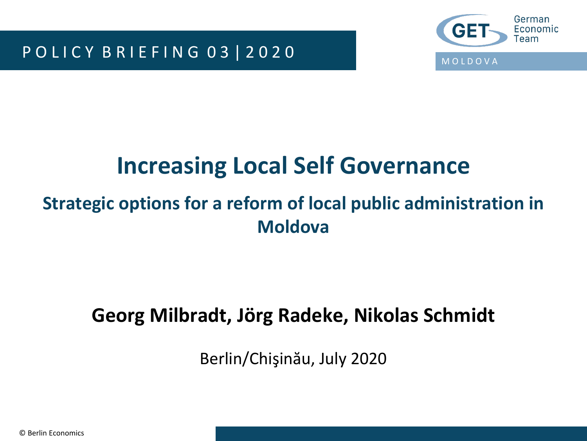P O L I C Y B R I E F I N G 0 3 | 2 0 2 0



# **Increasing Local Self Governance**

### **Strategic options for a reform of local public administration in Moldova**

### **Georg Milbradt, Jörg Radeke, Nikolas Schmidt**

Berlin/Chişinău, July 2020

© Berlin Economics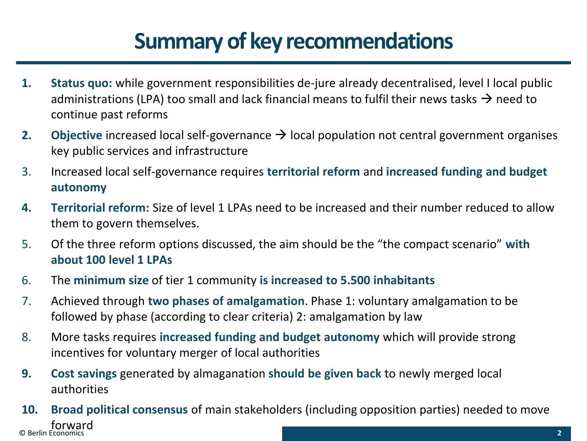# **Summary of key recommendations**

- **1. Status quo:** while government responsibilities de-jure already decentralised, level I local public administrations (LPA) too small and lack financial means to fulfil their news tasks  $\rightarrow$  need to continue past reforms
- **2. Objective** increased local self-governance → local population not central government organises key public services and infrastructure
- 3. Increased local self-governance requires **territorial reform** and **increased funding and budget autonomy**
- **4. Territorial reform:** Size of level 1 LPAs need to be increased and their number reduced to allow them to govern themselves.
- 5. Of the three reform options discussed, the aim should be the "the compact scenario" **with about 100 level 1 LPAs**
- 6. The **minimum size** of tier 1 community **is increased to 5.500 inhabitants**
- 7. Achieved through **two phases of amalgamation**. Phase 1: voluntary amalgamation to be followed by phase (according to clear criteria) 2: amalgamation by law
- 8. More tasks requires **increased funding and budget autonomy** which will provide strong incentives for voluntary merger of local authorities
- **9. Cost savings** generated by almaganation **should be given back** to newly merged local authorities
- © Berlin Economics **2 10. Broad political consensus** of main stakeholders (including opposition parties) needed to move forward<br>© Berlin Economics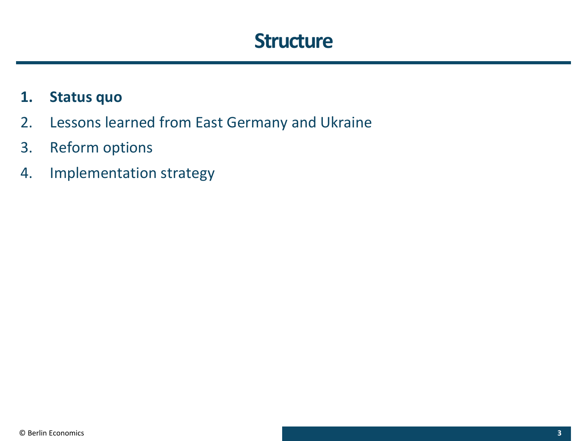### **Structure**

#### **1. Status quo**

- 2. Lessons learned from East Germany and Ukraine
- 3. Reform options
- 4. Implementation strategy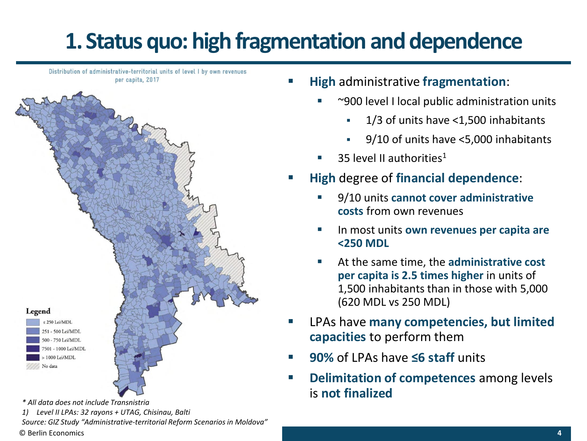# **1. Status quo: high fragmentation and dependence**

Distribution of administrative-territorial units of level I by own revenues per capita, 2017



*\* All data does not include Transnistria*

© Berlin Economics *1) Level II LPAs: 32 rayons + UTAG, Chisinau, Balti Source: GIZ Study "Administrative-territorial Reform Scenarios in Moldova"*

- **High** administrative **fragmentation**:
	- $\sim$  900 level I local public administration units
		- 1/3 of units have <1,500 inhabitants
		- 9/10 of units have <5,000 inhabitants
	- $\blacksquare$  35 level II authorities<sup>1</sup>
- **High** degree of **financial dependence**:
	- 9/10 units **cannot cover administrative costs** from own revenues
	- In most units **own revenues per capita are <250 MDL**
	- At the same time, the **administrative cost per capita is 2.5 times higher** in units of 1,500 inhabitants than in those with 5,000 (620 MDL vs 250 MDL)
- LPAs have **many competencies, but limited capacities** to perform them
- **90%** of LPAs have **≤6 staff** units
- **Delimitation of competences** among levels is **not finalized**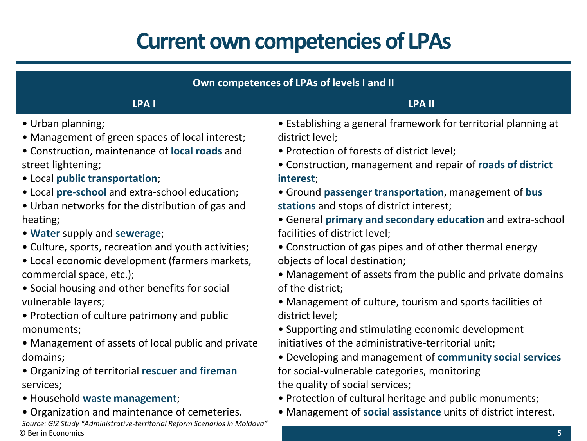# **Current own competencies of LPAs**

| Own competences of LPAs of levels I and II          |                                                                |  |  |  |  |
|-----------------------------------------------------|----------------------------------------------------------------|--|--|--|--|
| LPA I                                               | <b>LPA II</b>                                                  |  |  |  |  |
| • Urban planning;                                   | • Establishing a general framework for territorial planning at |  |  |  |  |
| • Management of green spaces of local interest;     | district level;                                                |  |  |  |  |
| • Construction, maintenance of local roads and      | • Protection of forests of district level;                     |  |  |  |  |
| street lightening;                                  | • Construction, management and repair of roads of district     |  |  |  |  |
| • Local public transportation;                      | interest;                                                      |  |  |  |  |
| • Local pre-school and extra-school education;      | • Ground passenger transportation, management of bus           |  |  |  |  |
| • Urban networks for the distribution of gas and    | stations and stops of district interest;                       |  |  |  |  |
| heating;                                            | • General primary and secondary education and extra-school     |  |  |  |  |
| • Water supply and sewerage;                        | facilities of district level;                                  |  |  |  |  |
| • Culture, sports, recreation and youth activities; | • Construction of gas pipes and of other thermal energy        |  |  |  |  |
| • Local economic development (farmers markets,      | objects of local destination;                                  |  |  |  |  |
| commercial space, etc.);                            | • Management of assets from the public and private domains     |  |  |  |  |
| • Social housing and other benefits for social      | of the district;                                               |  |  |  |  |
| vulnerable layers;                                  | • Management of culture, tourism and sports facilities of      |  |  |  |  |
| • Protection of culture patrimony and public        | district level;                                                |  |  |  |  |
| monuments;                                          | • Supporting and stimulating economic development              |  |  |  |  |
| • Management of assets of local public and private  | initiatives of the administrative-territorial unit;            |  |  |  |  |
| domains;                                            | • Developing and management of community social services       |  |  |  |  |
| • Organizing of territorial rescuer and fireman     | for social-vulnerable categories, monitoring                   |  |  |  |  |
| services;                                           | the quality of social services;                                |  |  |  |  |

- Household **waste management**;
- Organization and maintenance of cemeteries.

© Berlin Economics *Source: GIZ Study "Administrative-territorial Reform Scenarios in Moldova"* • Management of **social assistance** units of district interest.

• Protection of cultural heritage and public monuments;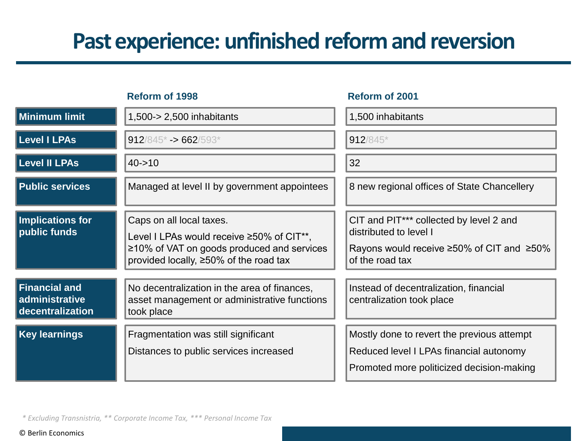## **Past experience: unfinished reform and reversion**

| Reform of 1998                                             |                                                                                                                                                                      | Reform of 2001                                                                                                                                              |  |
|------------------------------------------------------------|----------------------------------------------------------------------------------------------------------------------------------------------------------------------|-------------------------------------------------------------------------------------------------------------------------------------------------------------|--|
| <b>Minimum limit</b>                                       | 1,500-> 2,500 inhabitants                                                                                                                                            | 1,500 inhabitants                                                                                                                                           |  |
| <b>Level I LPAs</b>                                        | $912/845$ * -> 662/593*                                                                                                                                              | 912/845*                                                                                                                                                    |  |
| <b>Level II LPAs</b>                                       | $40 - 10$                                                                                                                                                            | 32                                                                                                                                                          |  |
| <b>Public services</b>                                     | Managed at level II by government appointees                                                                                                                         | 8 new regional offices of State Chancellery                                                                                                                 |  |
| Implications for<br>public funds                           | Caps on all local taxes.<br>Level I LPAs would receive ≥50% of CIT**,<br>≥10% of VAT on goods produced and services<br>provided locally, $\geq 50\%$ of the road tax | CIT and PIT <sup>***</sup> collected by level 2 and<br>distributed to level I<br>Rayons would receive $\geq 50\%$ of CIT and $\geq 50\%$<br>of the road tax |  |
| <b>Financial and</b><br>administrative<br>decentralization | No decentralization in the area of finances,<br>asset management or administrative functions<br>took place                                                           | Instead of decentralization, financial<br>centralization took place                                                                                         |  |
| <b>Key learnings</b>                                       | Fragmentation was still significant<br>Distances to public services increased                                                                                        | Mostly done to revert the previous attempt<br>Reduced level I LPAs financial autonomy<br>Promoted more politicized decision-making                          |  |

*\* Excluding Transnistria, \*\* Corporate Income Tax, \*\*\* Personal Income Tax*

© Berlin Economics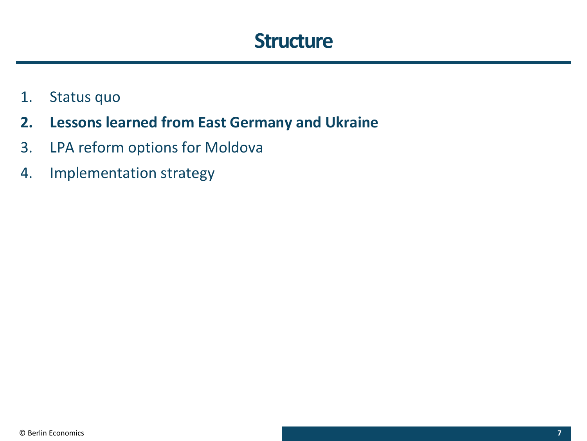### **Structure**

- 1. Status quo
- **2. Lessons learned from East Germany and Ukraine**
- 3. LPA reform options for Moldova
- 4. Implementation strategy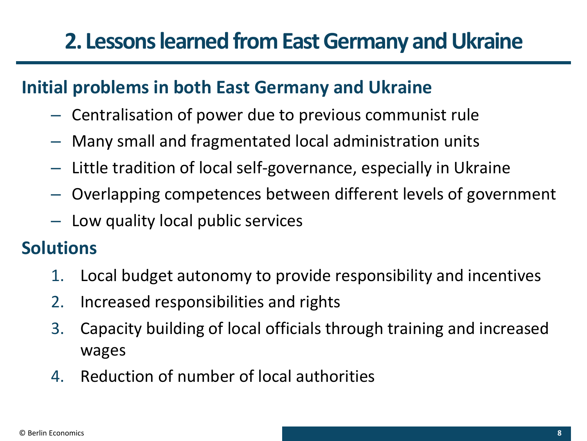#### **Initial problems in both East Germany and Ukraine**

- Centralisation of power due to previous communist rule
- Many small and fragmentated local administration units
- Little tradition of local self-governance, especially in Ukraine
- Overlapping competences between different levels of government
- Low quality local public services

#### **Solutions**

- 1. Local budget autonomy to provide responsibility and incentives
- 2. Increased responsibilities and rights
- 3. Capacity building of local officials through training and increased wages
- 4. Reduction of number of local authorities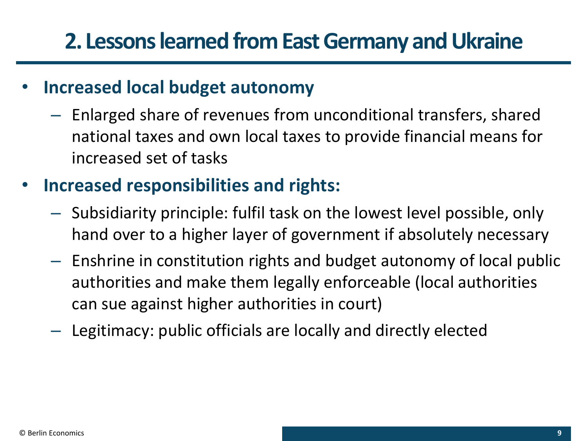#### • **Increased local budget autonomy**

– Enlarged share of revenues from unconditional transfers, shared national taxes and own local taxes to provide financial means for increased set of tasks

### • **Increased responsibilities and rights:**

- Subsidiarity principle: fulfil task on the lowest level possible, only hand over to a higher layer of government if absolutely necessary
- Enshrine in constitution rights and budget autonomy of local public authorities and make them legally enforceable (local authorities can sue against higher authorities in court)
- Legitimacy: public officials are locally and directly elected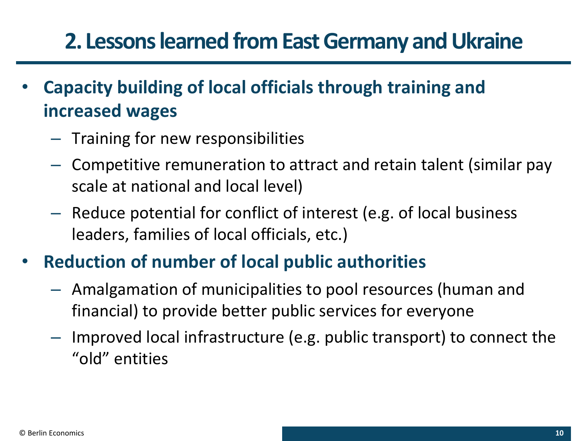- **Capacity building of local officials through training and increased wages**
	- Training for new responsibilities
	- Competitive remuneration to attract and retain talent (similar pay scale at national and local level)
	- Reduce potential for conflict of interest (e.g. of local business leaders, families of local officials, etc.)
- **Reduction of number of local public authorities**
	- Amalgamation of municipalities to pool resources (human and financial) to provide better public services for everyone
	- Improved local infrastructure (e.g. public transport) to connect the "old" entities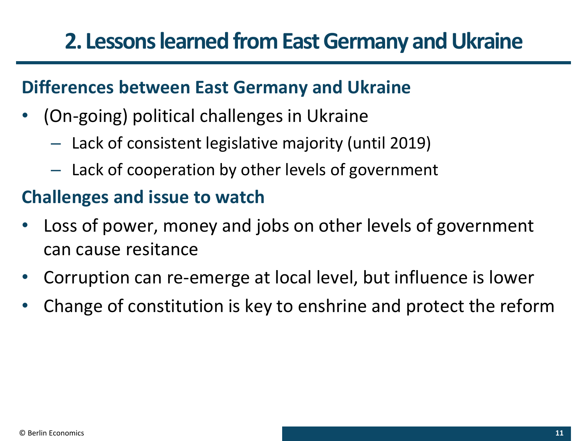#### **Differences between East Germany and Ukraine**

- (On-going) political challenges in Ukraine
	- Lack of consistent legislative majority (until 2019)
	- Lack of cooperation by other levels of government

#### **Challenges and issue to watch**

- Loss of power, money and jobs on other levels of government can cause resitance
- Corruption can re-emerge at local level, but influence is lower
- Change of constitution is key to enshrine and protect the reform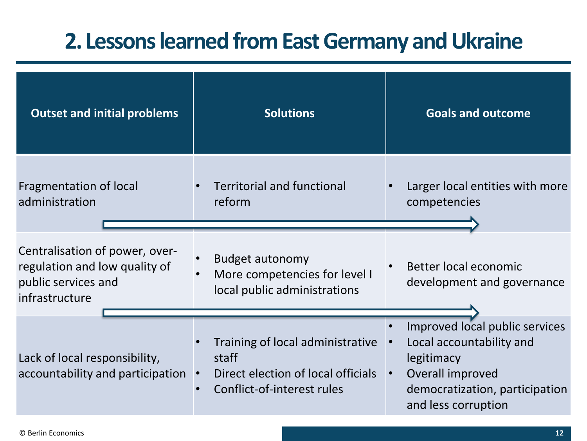| <b>Outset and initial problems</b>                                                                       | <b>Solutions</b>                                                                                              | <b>Goals and outcome</b>                                                                                                                                           |  |
|----------------------------------------------------------------------------------------------------------|---------------------------------------------------------------------------------------------------------------|--------------------------------------------------------------------------------------------------------------------------------------------------------------------|--|
| Fragmentation of local<br>administration                                                                 | <b>Territorial and functional</b><br>reform                                                                   | Larger local entities with more<br>competencies                                                                                                                    |  |
| Centralisation of power, over-<br>regulation and low quality of<br>public services and<br>infrastructure | <b>Budget autonomy</b><br>More competencies for level I<br>local public administrations                       | Better local economic<br>$\bullet$<br>development and governance                                                                                                   |  |
| Lack of local responsibility,<br>accountability and participation                                        | Training of local administrative<br>staff<br>Direct election of local officials<br>Conflict-of-interest rules | Improved local public services<br>Local accountability and<br>legitimacy<br>Overall improved<br>$\bullet$<br>democratization, participation<br>and less corruption |  |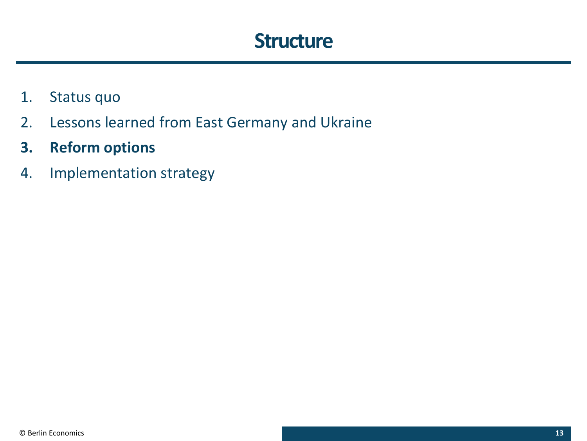### **Structure**

- 1. Status quo
- 2. Lessons learned from East Germany and Ukraine
- **3. Reform options**
- 4. Implementation strategy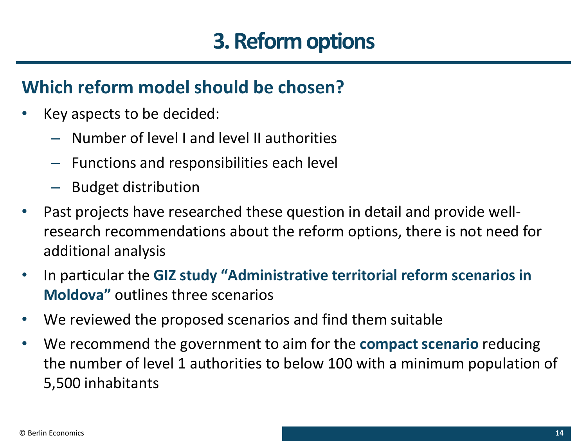# **3. Reform options**

#### **Which reform model should be chosen?**

- Key aspects to be decided:
	- Number of level I and level II authorities
	- Functions and responsibilities each level
	- Budget distribution
- Past projects have researched these question in detail and provide wellresearch recommendations about the reform options, there is not need for additional analysis
- In particular the **GIZ study "Administrative territorial reform scenarios in Moldova"** outlines three scenarios
- We reviewed the proposed scenarios and find them suitable
- We recommend the government to aim for the **compact scenario** reducing the number of level 1 authorities to below 100 with a minimum population of 5,500 inhabitants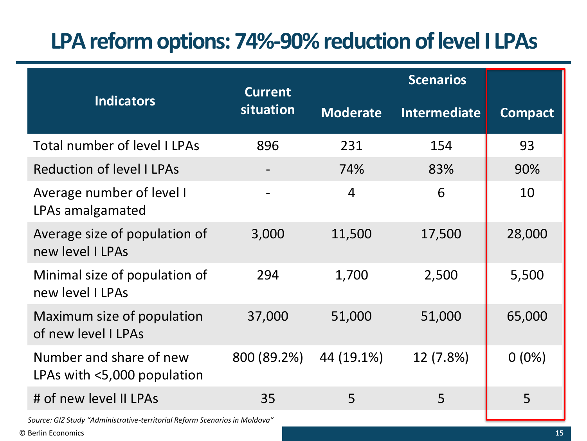# **LPA reform options: 74%-90% reduction of level I LPAs**

|                                                                            | <b>Current</b><br>situation | <b>Scenarios</b> |                     |                |  |
|----------------------------------------------------------------------------|-----------------------------|------------------|---------------------|----------------|--|
| <b>Indicators</b>                                                          |                             | <b>Moderate</b>  | <b>Intermediate</b> | <b>Compact</b> |  |
| <b>Total number of level I LPAs</b>                                        | 896                         | 231              | 154                 | 93             |  |
| <b>Reduction of level I LPAs</b>                                           |                             | 74%              | 83%                 | 90%            |  |
| Average number of level I<br>LPAs amalgamated                              |                             | $\overline{4}$   | 6                   | 10             |  |
| Average size of population of<br>new level I LPAs                          | 3,000                       | 11,500           | 17,500              | 28,000         |  |
| Minimal size of population of<br>new level I LPAs                          | 294                         | 1,700            | 2,500               | 5,500          |  |
| Maximum size of population<br>of new level I LPAs                          | 37,000                      | 51,000           | 51,000              | 65,000         |  |
| Number and share of new<br>LPAs with <5,000 population                     | 800 (89.2%)                 | 44 (19.1%)       | 12 (7.8%)           | $0(0\%)$       |  |
| # of new level II LPAs                                                     | 35                          | 5                | 5                   | 5              |  |
| Source: GIZ Study "Administrative-territorial Reform Scenarios in Moldova" |                             |                  |                     |                |  |

© Berlin Economics **15**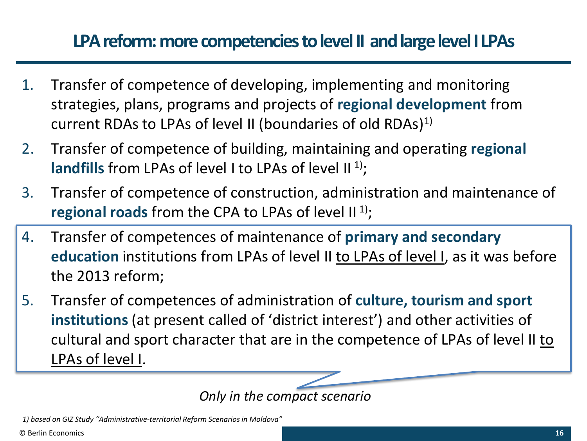#### **LPA reform: more competencies to level II and large level I LPAs**

- 1. Transfer of competence of developing, implementing and monitoring strategies, plans, programs and projects of **regional development** from current RDAs to LPAs of level II (boundaries of old RDAs)1)
- 2. Transfer of competence of building, maintaining and operating **regional**  landfills from LPAs of level I to LPAs of level II<sup>1</sup>);
- 3. Transfer of competence of construction, administration and maintenance of **regional roads** from the CPA to LPAs of level II<sup>1</sup>);
- 4. Transfer of competences of maintenance of **primary and secondary education** institutions from LPAs of level II to LPAs of level I, as it was before the 2013 reform;
- 5. Transfer of competences of administration of **culture, tourism and sport institutions** (at present called of 'district interest') and other activities of cultural and sport character that are in the competence of LPAs of level II to LPAs of level I.

*Only in the compact scenario*

*1) based on GIZ Study "Administrative-territorial Reform Scenarios in Moldova"*

© Berlin Economics **16**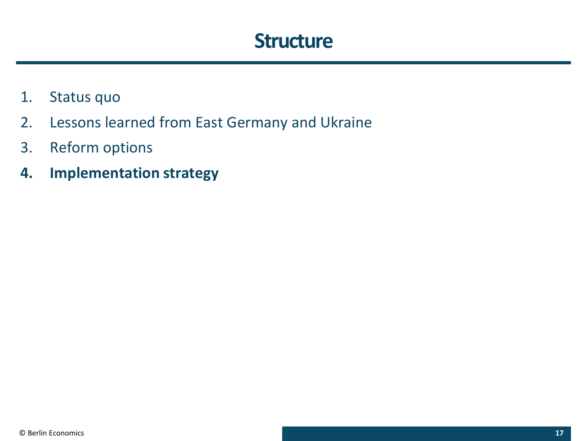### **Structure**

- 1. Status quo
- 2. Lessons learned from East Germany and Ukraine
- 3. Reform options
- **4. Implementation strategy**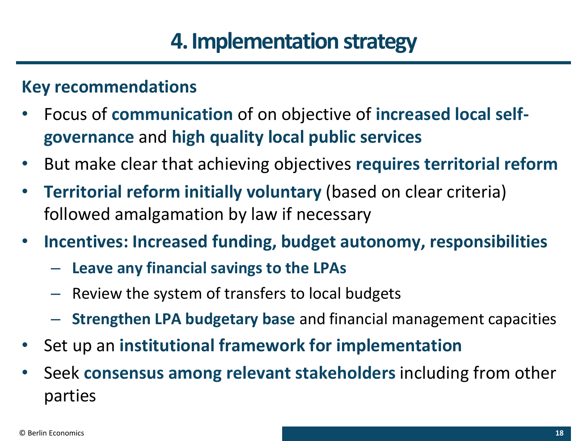# **4. Implementation strategy**

#### **Key recommendations**

- Focus of **communication** of on objective of **increased local selfgovernance** and **high quality local public services**
- But make clear that achieving objectives **requires territorial reform**
- **Territorial reform initially voluntary** (based on clear criteria) followed amalgamation by law if necessary
- **Incentives: Increased funding, budget autonomy, responsibilities**
	- **Leave any financial savings to the LPAs**
	- Review the system of transfers to local budgets
	- **Strengthen LPA budgetary base** and financial management capacities
- Set up an **institutional framework for implementation**
- Seek **consensus among relevant stakeholders** including from other parties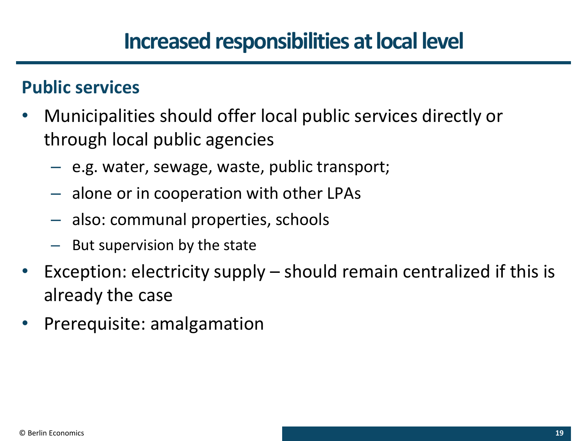### **Increased responsibilities at local level**

#### **Public services**

- Municipalities should offer local public services directly or through local public agencies
	- e.g. water, sewage, waste, public transport;
	- alone or in cooperation with other LPAs
	- also: communal properties, schools
	- But supervision by the state
- Exception: electricity supply should remain centralized if this is already the case
- Prerequisite: amalgamation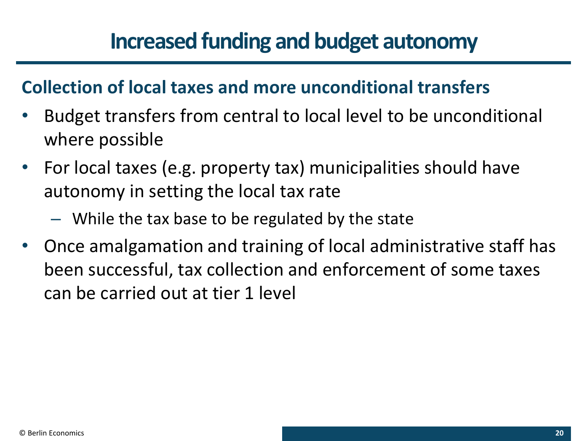## **Increased funding and budget autonomy**

#### **Collection of local taxes and more unconditional transfers**

- Budget transfers from central to local level to be unconditional where possible
- For local taxes (e.g. property tax) municipalities should have autonomy in setting the local tax rate
	- While the tax base to be regulated by the state
- Once amalgamation and training of local administrative staff has been successful, tax collection and enforcement of some taxes can be carried out at tier 1 level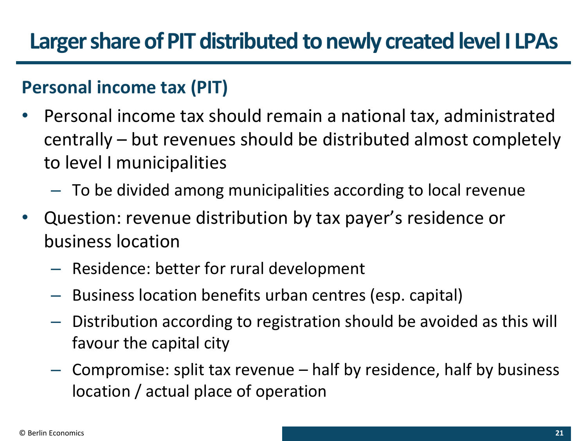## **Larger share of PIT distributed to newly created level I LPAs**

#### **Personal income tax (PIT)**

- Personal income tax should remain a national tax, administrated centrally – but revenues should be distributed almost completely to level I municipalities
	- To be divided among municipalities according to local revenue
- Question: revenue distribution by tax payer's residence or business location
	- Residence: better for rural development
	- Business location benefits urban centres (esp. capital)
	- Distribution according to registration should be avoided as this will favour the capital city
	- Compromise: split tax revenue half by residence, half by business location / actual place of operation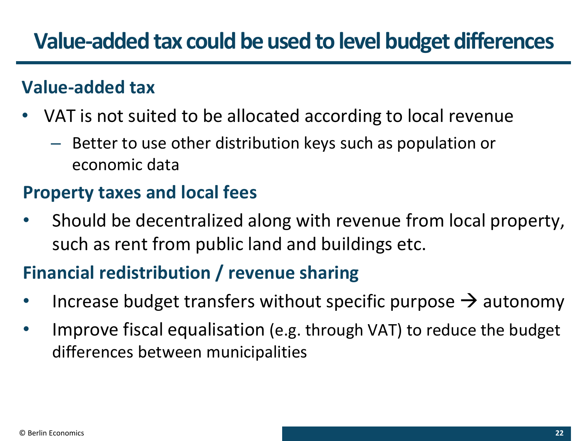### **Value-added tax could be used to level budget differences**

#### **Value-added tax**

- VAT is not suited to be allocated according to local revenue
	- Better to use other distribution keys such as population or economic data

### **Property taxes and local fees**

Should be decentralized along with revenue from local property, such as rent from public land and buildings etc.

### **Financial redistribution / revenue sharing**

- Increase budget transfers without specific purpose  $\rightarrow$  autonomy
- Improve fiscal equalisation (e.g. through VAT) to reduce the budget differences between municipalities